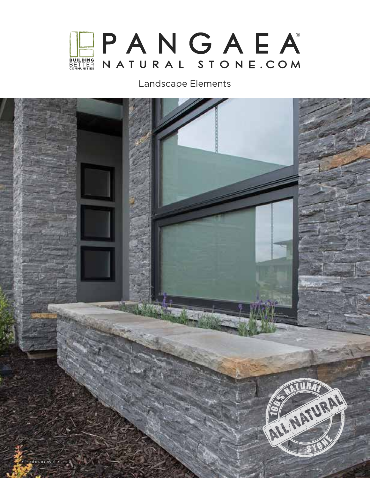

## Landscape Elements

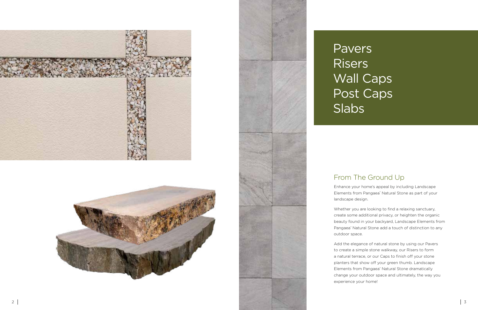Enhance your home's appeal by including Landscape Elements from Pangaea ® Natural Stone as part of your landscape design.

Whether you are looking to find a relaxing sanctuary, create some additional privacy, or heighten the organic beauty found in your backyard, Landscape Elements from Pangaea ® Natural Stone add a touch of distinction to any

outdoor space.

Add the elegance of natural stone by using our Pavers to create a simple stone walkway, our Risers to form a natural terrace, or our Caps to finish off your stone planters that show off your green thumb. Landscape Elements from Pangaea ® Natural Stone dramatically change your outdoor space and ultimately, the way you experience your home!







# Pavers **Risers** Wall Caps Post Caps Slabs

# From The Ground Up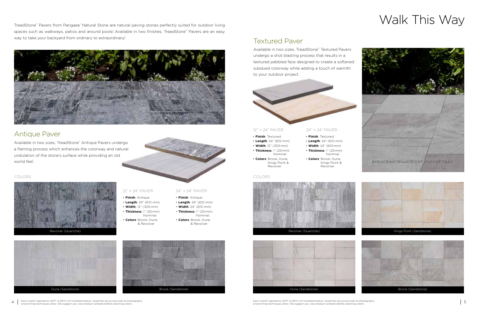



Each swatch represents 50ft<sup>2</sup> (4.65m<sup>2</sup>) of installed product. Swatches are as accurate as photography



## Kings Point (Sandstone)











- **Finish**: Antique
- **Length**: 24" (610 mm)
- **Width**: 12" (305 mm) • **Thickness**: 1" (25 mm)
- Nominal • **Colors**: Brook, Dune & Revolver
- **Finish**: Textured
- **Length**: 24" (610 mm)
- **Width**: 12" (305 mm)
- **Thickness**: 1" (25 mm) Nominal
- **Colors**: Brook, Dune, Kings Point & Revolver

- **Finish**: Antique
- **Length**: 24" (610 mm)
- **Width**: 24" (610 mm) • **Thickness**: 1" (25 mm)
- Nominal
- **Colors**: Brook, Dune & Revolver
- **Length**: 24" (610 mm)
- **Width**: 24" (610 mm)
- **Thickness**: 1" (25 mm) Nominal
- **Colors**: Brook, Dune, Kings Point & Revolver

## • **Finish**: Textured 24" × 24" PAVER

TreadStone™ Pavers from Pangaea® Natural Stone are natural paving stones perfectly suited for outdoor living spaces such as walkways, patios and around pools! Available in two finishes, TreadStone™ Pavers are an easy way to take your backyard from ordinary to extraordinary!

## 12" × 24" PAVER

### 12" × 24" PAVER



4 Each swatch represents 50ft<sup>2</sup> (4.65m<sup>2</sup>) of installed product. Swatches are as accurate as photography Each swatch represents 50ft<sup>2</sup> (4.65m<sup>2</sup>) of installed product. Swatches are as accurate as photography and printing and printing techniques allow. We suggest you view product samples before selecting colors.



Available in two sizes, TreadStone™ Antique Pavers undergo a flaming process which enhances the colorway and natural undulation of the stone's surface while providing an old world feel.





Available in two sizes, TreadStone™ Textured Pavers



### COLORS COLORS

# Walk This Way

## Antique Paver

Textured Paver

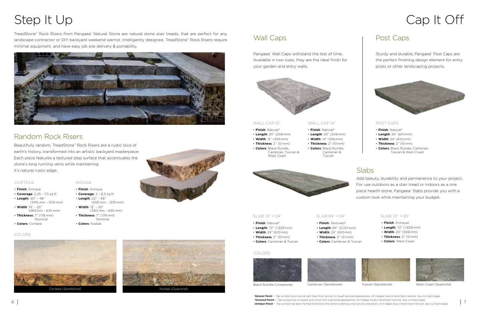



# Step It Up cap It Off

Black Rundle (Limestone) Cambrian (Sandstone) Tuscan (Sandstone) West Coast (Quartzite)

- **Finish**: Antique
- **Coverage**: 2.25 7.5 sq.ft
- **Length**: 40" 48" (1016 mm – 1219 mm)
- **Width**: 19" 25" (483 mm – 635 mm) • **Thickness**: 7" (178 mm)
- Nominal • **Colors**: Corteza
- 
- **Finish**: Antique
- **Coverage**: 2 6.5 sq.ft
- **Length**: 22" 48" (559 mm – 1219 mm)
- **Width**: 13" 25"
- (330 mm 635 mm) • **Thickness**: 7" (178 mm)
- Nominal
- **Colors**: Kodiak



## Wall Caps Post Caps

### CORTEZA KODIAK

TreadStone™ Rock Risers from Pangaea® Natural Stone are natural stone stair treads, that are perfect for any landscape contractor or DIY backyard weekend warrior. Intelligently designed, TreadStone™ Rock Risers require minimal equipment, and have easy job site delivery & portability.

Beautifully random, TreadStone™ Rock Risers are a rustic slice of earth's history, transformed into an artistic backyard masterpiece. Each piece features a textured step surface that accentuates the stone's long running veins while maintaining it's natural rustic edge.

COLORS





Sturdy and durable, Pangaea® Post Caps are the perfect finishing design element for entry posts or other landscaping projects.



†**Textured Finish** — Top surface has a smooth even finish with a textured appearance. All 3 edges have a hand hewn texture. Saw cut back edge.

- **Finish**: Natural\*
- **Length**: 24" (610 mm)
- **Width**: 24" (610 mm)
- **Thickness**: 2" (51 mm)
- **Colors**: Black Rundle, Cambrian, Tuscan & West Coast

Pangaea® Wall Caps withstand the test of time. Available in two sizes, they are the ideal finish for your garden and entry walls.



- **Finish**: Natural\*
- **Length**: 20" (208 mm)
- **Width**: 12" (305 mm)
- **Thickness**: 2" (51 mm) • **Colors**: Black Rundle,

- **Finish**: Natural\*
- **Length**: 20" (208 mm)
- **Width**: 14" (356 mm)
- Cambrian, Tuscan &

West Coast

- **Thickness**: 2" (51 mm) • **Colors**: Black Rundle, Cambrian &
	- Tuscan



Add beauty, durability and permanence to your project. For use outdoors as a stair tread or indoors as a one piece hearth stone, Pangaea® Slabs provide you with a custom look while maintaining your budget.

- **Finish**: Textured†
- **Length**: 84" (2,134 mm)
- **Width**: 24" (610 mm)
- **Thickness**: 2" (51 mm)
- **Colors**: Cambrian & Tuscan
- **Finish**: Natural\*
- **Length**: 72" (1,829 mm)
- **Width**: 24" (610 mm)
- **Thickness**: 2" (51 mm)
- **Colors**: Cambrian & Tuscan

- **Finish**: Antique‡
- **Length**: 72" (1,829 mm)
- **Width**: 20" (508 mm)
- **Thickness**: 2" (51 mm)
- **Colors**: West Coast





### WALL CAP 12" WALL CAP 14" POST CAPS

## SLAB 72" × 24" SLAB 84" × 24" SLAB 72" × 20"

### COLORS





# Random Rock Risers

# Slabs